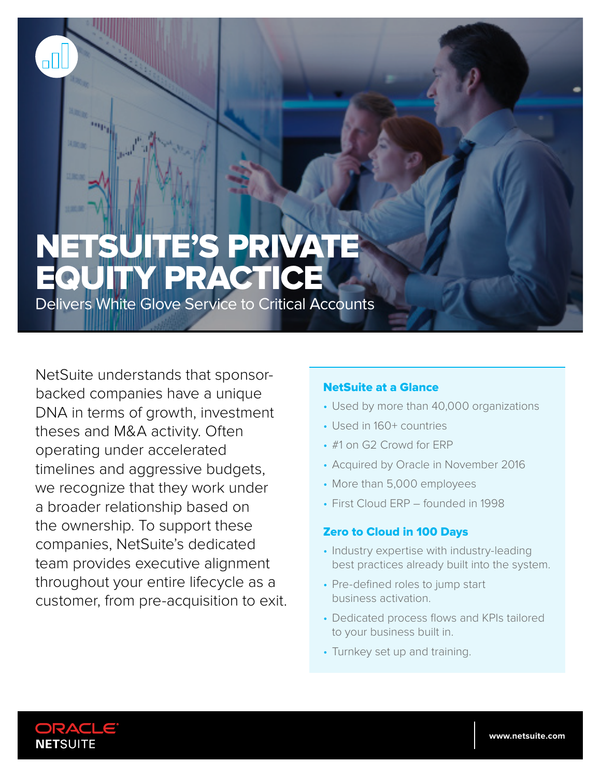# NETSUITE'S PRIVATE EQUITY PRACTICE

Delivers White Glove Service to Critical Accounts

NetSuite understands that sponsorbacked companies have a unique DNA in terms of growth, investment theses and M&A activity. Often operating under accelerated timelines and aggressive budgets, we recognize that they work under a broader relationship based on the ownership. To support these companies, NetSuite's dedicated team provides executive alignment throughout your entire lifecycle as a customer, from pre-acquisition to exit.

## NetSuite at a Glance

- Used by more than 40,000 organizations
- Used in 160+ countries
- #1 on G2 Crowd for ERP
- Acquired by Oracle in November 2016
- More than 5,000 employees
- First Cloud ERP founded in 1998

### Zero to Cloud in 100 Days

- Industry expertise with industry-leading best practices already built into the system.
- Pre-defined roles to jump start business activation.
- Dedicated process flows and KPIs tailored to your business built in.
- Turnkey set up and training.



oO